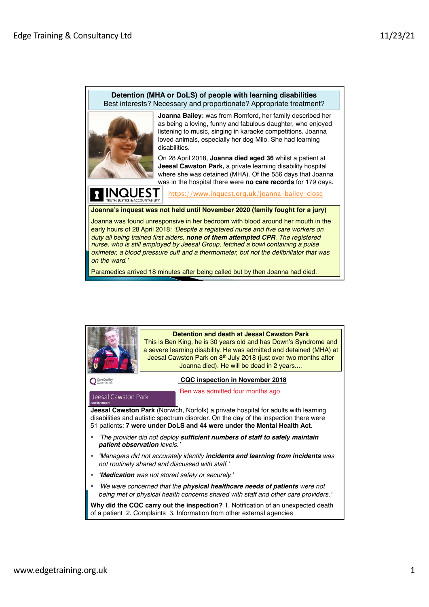## **Detention (MHA or DoLS) of people with learning disabilities** Best interests? Necessary and proportionate? Appropriate treatment?



**INQUEST** 

**Joanna Bailey:** was from Romford, her family described her as being a loving, funny and fabulous daughter, who enjoyed listening to music, singing in karaoke competitions. Joanna loved animals, especially her dog Milo. She had learning disabilities.

On 28 April 2018, **Joanna died aged 36** whilst a patient at **Jeesal Cawston Park,** a private learning disability hospital where she was detained (MHA). Of the 556 days that Joanna was in the hospital there were **no care records** for 179 days.

/www.inquest.org.uk/joanna-bailey-close

**Joanna's inquest was not held until November 2020 (family fought for a jury)**

Joanna was found unresponsive in her bedroom with blood around her mouth in the early hours of 28 April 2018: *'Despite a registered nurse and five care workers on duty all being trained first aiders, none of them attempted CPR. The registered nurse, who is still employed by Jeesal Group, fetched a bowl containing a pulse oximeter, a blood pressure cuff and a thermometer, but not the defibrillator that was on the ward.'*

Paramedics arrived 18 minutes after being called but by then Joanna had died.

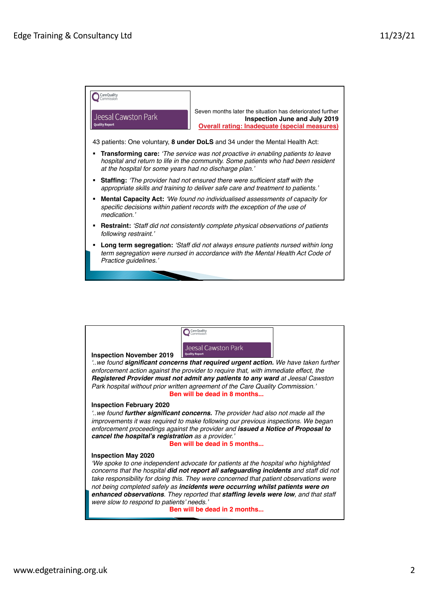

| Jeesal Cawston Park<br><b>Quality Report</b><br><b>Inspection November 2019</b><br>we found significant concerns that required urgent action. We have taken further<br>enforcement action against the provider to require that, with immediate effect, the<br>Registered Provider must not admit any patients to any ward at Jeesal Cawston<br>Park hospital without prior written agreement of the Care Quality Commission.'                                                                                                                             |  |  |
|-----------------------------------------------------------------------------------------------------------------------------------------------------------------------------------------------------------------------------------------------------------------------------------------------------------------------------------------------------------------------------------------------------------------------------------------------------------------------------------------------------------------------------------------------------------|--|--|
| Ben will be dead in 8 months                                                                                                                                                                                                                                                                                                                                                                                                                                                                                                                              |  |  |
| <b>Inspection February 2020</b><br>we found <b>further significant concerns.</b> The provider had also not made all the<br>improvements it was required to make following our previous inspections. We began<br>enforcement proceedings against the provider and issued a Notice of Proposal to<br>cancel the hospital's registration as a provider.'<br>Ben will be dead in 5 months                                                                                                                                                                     |  |  |
| <b>Inspection May 2020</b><br>'We spoke to one independent advocate for patients at the hospital who highlighted<br>concerns that the hospital did not report all safeguarding incidents and staff did not<br>take responsibility for doing this. They were concerned that patient observations were<br>not being completed safely as incidents were occurring whilst patients were on<br>enhanced observations. They reported that staffing levels were low, and that staff<br>were slow to respond to patients' needs.'<br>Ben will be dead in 2 months |  |  |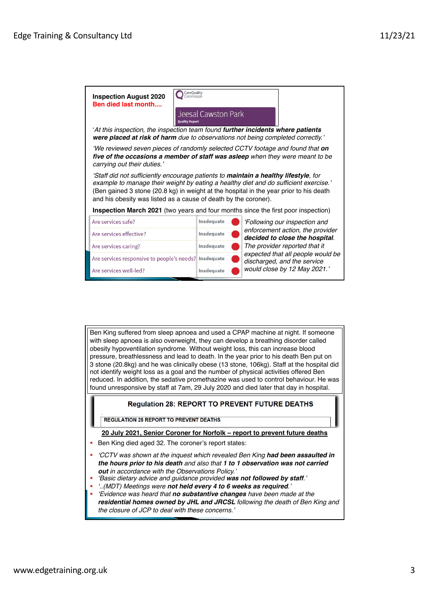

Ben King suffered from sleep apnoea and used a CPAP machine at night. If someone with sleep apnoea is also overweight, they can develop a breathing disorder called obesity hypoventilation syndrome. Without weight loss, this can increase blood pressure, breathlessness and lead to death. In the year prior to his death Ben put on 3 stone (20.8kg) and he was clinically obese (13 stone, 106kg). Staff at the hospital did not identify weight loss as a goal and the number of physical activities offered Ben reduced. In addition, the sedative promethazine was used to control behaviour. He was found unresponsive by staff at 7am, 29 July 2020 and died later that day in hospital.

## **Regulation 28: REPORT TO PREVENT FUTURE DEATHS**

**REGULATION 28 REPORT TO PREVENT DEATHS** 

**[20 July 2021, Senior Coroner for Norfolk –](https://www.judiciary.uk/publications/ben-king-prevention-of-future-deaths-report/) report to prevent future deaths**

- Ben King died aged 32. The coroner's report states:
- § *'CCTV was shown at the inquest which revealed Ben King had been assaulted in the hours prior to his death and also that 1 to 1 observation was not carried out in accordance with the Observations Policy.'*
- § *'Basic dietary advice and guidance provided was not followed by staff.'*
- § *'..(MDT) Meetings were not held every 4 to 6 weeks as required.'*
- § *'Evidence was heard that no substantive changes have been made at the residential homes owned by JHL and JRCSL following the death of Ben King and the closure of JCP to deal with these concerns.'*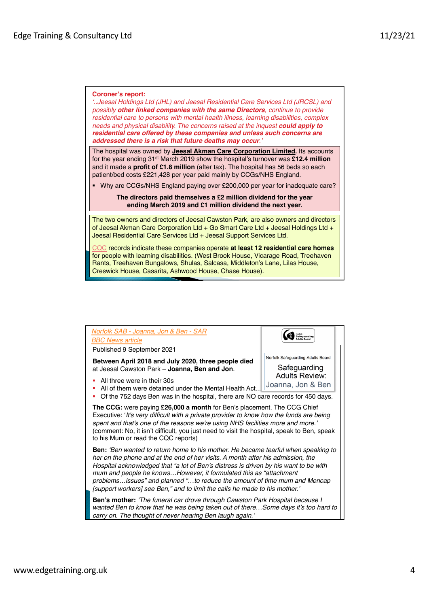## **Coroner's report:**

*'..Jeesal Holdings Ltd (JHL) and Jeesal Residential Care Services Ltd (JRCSL) and possibly other linked companies with the same Directors, continue to provide residential care to persons with mental health illness, learning disabilities, complex needs and physical disability. The concerns raised at the inquest could apply to residential care offered by these companies and unless such concerns are addressed there is a risk that future deaths may occur.'*

[The hospital was owned by](https://find-and-update.company-information.service.gov.uk/search?q=Jeesal+Akman+Care+Corporation+Limited) **Jeesal Akman Care Corporation Limited.** Its accounts for the year ending 31st March 2019 show the hospital's turnover was **£12.4 million**  and it made a **profit of £1.8 million** (after tax). The hospital has 56 beds so each patient/bed costs £221,428 per year paid mainly by CCGs/NHS England.

§ Why are CCGs/NHS England paying over £200,000 per year for inadequate care?

**The directors paid themselves a £2 million dividend for the year ending March 2019 and £1 million dividend the next year.**

The two owners and directors of Jeesal Cawston Park, are also owners and directors of Jeesal Akman Care Corporation Ltd + Go Smart Care Ltd + Jeesal Holdings Ltd + Jeesal Residential Care Services Ltd + Jeesal Support Services Ltd.

**QC** records indicate these companies operate at least 12 residential care homes for people with learning disabilities. (West Brook House, Vicarage Road, Treehaven Rants, Treehaven Bungalows, Shulas, Salcasa, Middleton's Lane, Lilas House, Creswick House, Casarita, Ashwood House, Chase House).

| Norfolk SAB - Joanna, Jon & Ben - SAR<br><b>BBC News article</b>                                                                                                                                                                                                                                                                                                                                                                                                                                    | Norfolk<br><b>Safeguarding</b>                                                                  |  |
|-----------------------------------------------------------------------------------------------------------------------------------------------------------------------------------------------------------------------------------------------------------------------------------------------------------------------------------------------------------------------------------------------------------------------------------------------------------------------------------------------------|-------------------------------------------------------------------------------------------------|--|
| Published 9 September 2021                                                                                                                                                                                                                                                                                                                                                                                                                                                                          |                                                                                                 |  |
| Between April 2018 and July 2020, three people died<br>at Jeesal Cawston Park - Joanna, Ben and Jon.<br>All three were in their 30s<br>All of them were detained under the Mental Health Act.<br>Of the 752 days Ben was in the hospital, there are NO care records for 450 days.                                                                                                                                                                                                                   | Norfolk Safeguarding Adults Board<br>Safeguarding<br><b>Adults Review:</b><br>Joanna, Jon & Ben |  |
| <b>The CCG:</b> were paying <b>£26,000 a month</b> for Ben's placement. The CCG Chief<br>Executive: 'It's very difficult with a private provider to know how the funds are being<br>spent and that's one of the reasons we're using NHS facilities more and more.'<br>(comment: No, it isn't difficult, you just need to visit the hospital, speak to Ben, speak<br>to his Mum or read the CQC reports)                                                                                             |                                                                                                 |  |
| <b>Ben:</b> 'Ben wanted to return home to his mother. He became tearful when speaking to<br>her on the phone and at the end of her visits. A month after his admission, the<br>Hospital acknowledged that "a lot of Ben's distress is driven by his want to be with<br>mum and people he knowsHowever, it formulated this as "attachment"<br>problemsissues" and planned "to reduce the amount of time mum and Mencap<br>[support workers] see Ben," and to limit the calls he made to his mother.' |                                                                                                 |  |
| <b>Ben's mother:</b> 'The funeral car drove through Cawston Park Hospital because I<br>wanted Ben to know that he was being taken out of thereSome days it's too hard to<br>carry on. The thought of never hearing Ben laugh again.'                                                                                                                                                                                                                                                                |                                                                                                 |  |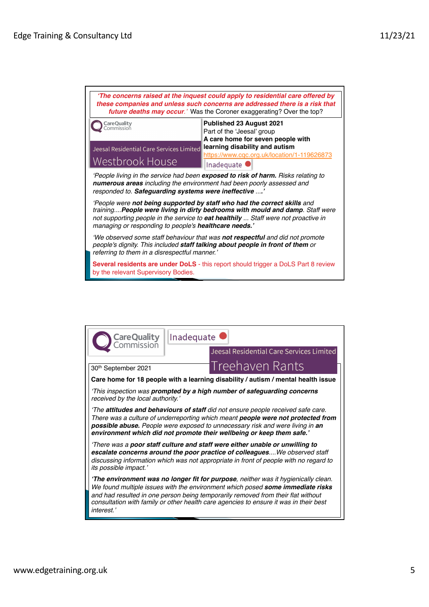| 'The concerns raised at the inquest could apply to residential care offered by<br>these companies and unless such concerns are addressed there is a risk that<br>future deaths may occur.' Was the Coroner exaggerating? Over the top?                                                                         |                                                                                                                                                                                            |  |
|----------------------------------------------------------------------------------------------------------------------------------------------------------------------------------------------------------------------------------------------------------------------------------------------------------------|--------------------------------------------------------------------------------------------------------------------------------------------------------------------------------------------|--|
| <b>CareQuality</b><br>Commission<br>Jeesal Residential Care Services Limited<br>Westbrook House                                                                                                                                                                                                                | Published 23 August 2021<br>Part of the 'Jeesal' group<br>A care home for seven people with<br>learning disability and autism<br>https://www.cqc.org.uk/location/1-119626873<br>Inadequate |  |
| 'People living in the service had been exposed to risk of harm. Risks relating to<br>numerous areas including the environment had been poorly assessed and<br>responded to. Safeguarding systems were ineffective '                                                                                            |                                                                                                                                                                                            |  |
| 'People were not being supported by staff who had the correct skills and<br>training People were living in dirty bedrooms with mould and damp. Staff were<br>not supporting people in the service to <b>eat healthily</b> Staff were not proactive in<br>managing or responding to people's healthcare needs.' |                                                                                                                                                                                            |  |
| 'We observed some staff behaviour that was not respectful and did not promote<br>people's dignity. This included staff talking about people in front of them or<br>referring to them in a disrespectful manner.'                                                                                               |                                                                                                                                                                                            |  |
| by the relevant Supervisory Bodies.                                                                                                                                                                                                                                                                            | <b>Several residents are under DoLS</b> - this report should trigger a DoLS Part 8 review                                                                                                  |  |